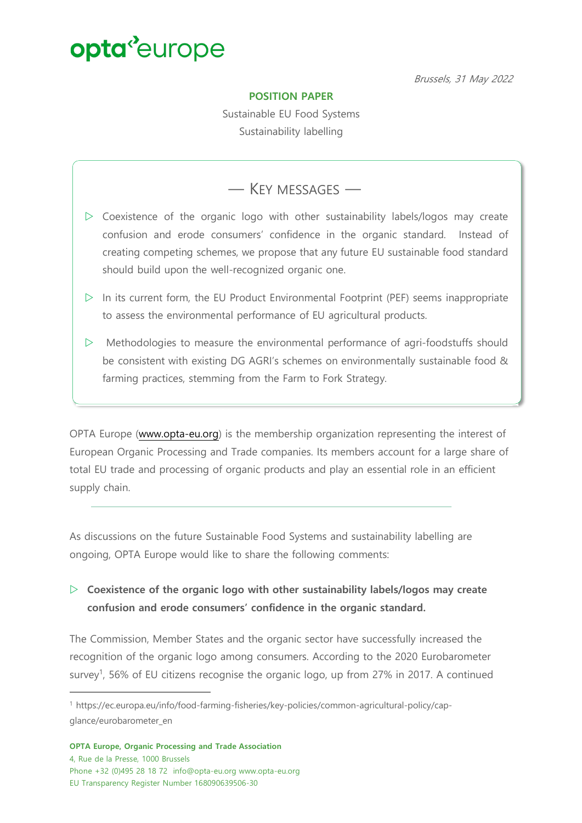Brussels, 31 May 2022

#### **POSITION PAPER**

Sustainable EU Food Systems Sustainability labelling

### ― KEY MESSAGES ―

- $\triangleright$  Coexistence of the organic logo with other sustainability labels/logos may create confusion and erode consumers' confidence in the organic standard. Instead of creating competing schemes, we propose that any future EU sustainable food standard should build upon the well-recognized organic one.
- $\triangleright$  In its current form, the EU Product Environmental Footprint (PEF) seems inappropriate to assess the environmental performance of EU agricultural products.
- $\triangleright$  Methodologies to measure the environmental performance of agri-foodstuffs should be consistent with existing DG AGRI's schemes on environmentally sustainable food & farming practices, stemming from the Farm to Fork Strategy.

OPTA Europe (www.opta-eu.org) is the membership organization representing the interest of European Organic Processing and Trade companies. Its members account for a large share of total EU trade and processing of organic products and play an essential role in an efficient supply chain.

As discussions on the future Sustainable Food Systems and sustainability labelling are ongoing, OPTA Europe would like to share the following comments:

#### w **Coexistence of the organic logo with other sustainability labels/logos may create confusion and erode consumers' confidence in the organic standard.**

The Commission, Member States and the organic sector have successfully increased the recognition of the organic logo among consumers. According to the 2020 Eurobarometer survey<sup>1</sup>, 56% of EU citizens recognise the organic logo, up from 27% in 2017. A continued

<sup>1</sup> https://ec.europa.eu/info/food-farming-fisheries/key-policies/common-agricultural-policy/capglance/eurobarometer\_en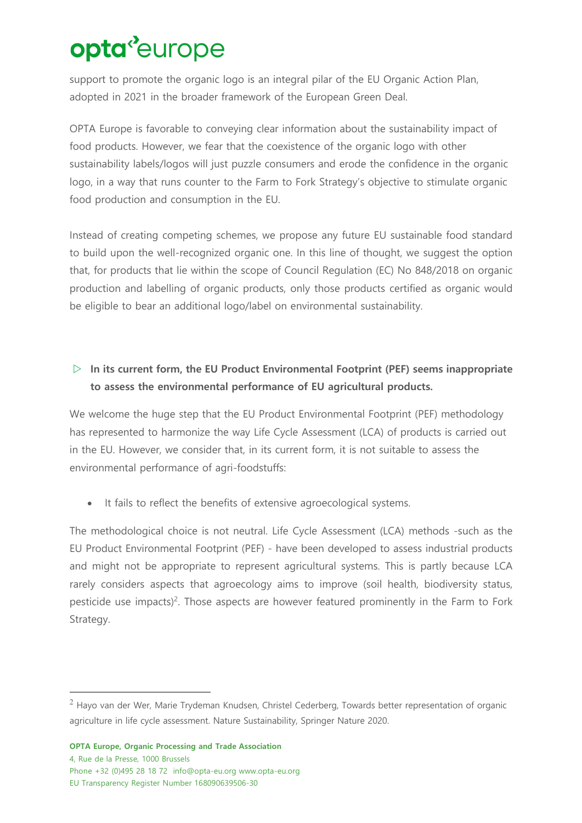support to promote the organic logo is an integral pilar of the EU Organic Action Plan, adopted in 2021 in the broader framework of the European Green Deal.

OPTA Europe is favorable to conveying clear information about the sustainability impact of food products. However, we fear that the coexistence of the organic logo with other sustainability labels/logos will just puzzle consumers and erode the confidence in the organic logo, in a way that runs counter to the Farm to Fork Strategy's objective to stimulate organic food production and consumption in the EU.

Instead of creating competing schemes, we propose any future EU sustainable food standard to build upon the well-recognized organic one. In this line of thought, we suggest the option that, for products that lie within the scope of Council Regulation (EC) No 848/2018 on organic production and labelling of organic products, only those products certified as organic would be eligible to bear an additional logo/label on environmental sustainability.

### w **In its current form, the EU Product Environmental Footprint (PEF) seems inappropriate to assess the environmental performance of EU agricultural products.**

We welcome the huge step that the EU Product Environmental Footprint (PEF) methodology has represented to harmonize the way Life Cycle Assessment (LCA) of products is carried out in the EU. However, we consider that, in its current form, it is not suitable to assess the environmental performance of agri-foodstuffs:

• It fails to reflect the benefits of extensive agroecological systems.

The methodological choice is not neutral. Life Cycle Assessment (LCA) methods -such as the EU Product Environmental Footprint (PEF) - have been developed to assess industrial products and might not be appropriate to represent agricultural systems. This is partly because LCA rarely considers aspects that agroecology aims to improve (soil health, biodiversity status, pesticide use impacts)<sup>2</sup>. Those aspects are however featured prominently in the Farm to Fork Strategy.

 $2$  Hayo van der Wer, Marie Trydeman Knudsen, Christel Cederberg, Towards better representation of organic agriculture in life cycle assessment. Nature Sustainability, Springer Nature 2020.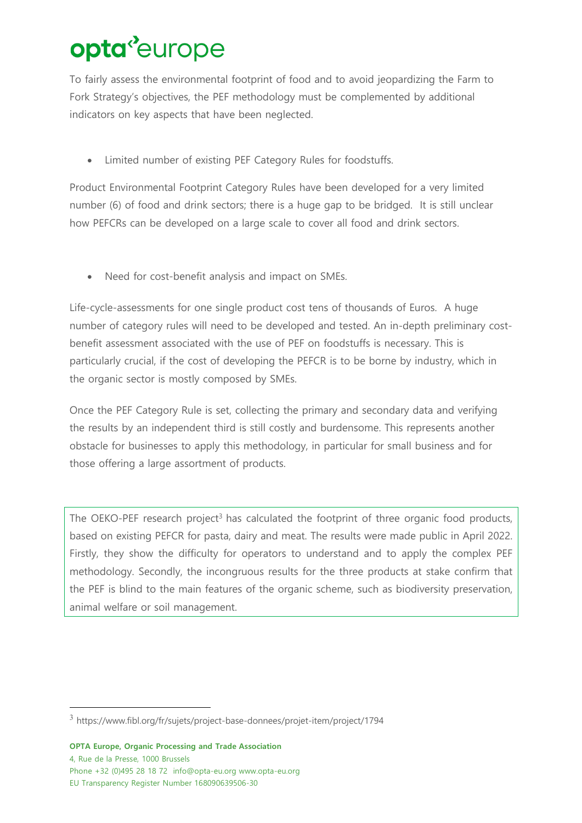To fairly assess the environmental footprint of food and to avoid jeopardizing the Farm to Fork Strategy's objectives, the PEF methodology must be complemented by additional indicators on key aspects that have been neglected.

• Limited number of existing PEF Category Rules for foodstuffs.

Product Environmental Footprint Category Rules have been developed for a very limited number (6) of food and drink sectors; there is a huge gap to be bridged. It is still unclear how PEFCRs can be developed on a large scale to cover all food and drink sectors.

• Need for cost-benefit analysis and impact on SMEs.

Life-cycle-assessments for one single product cost tens of thousands of Euros. A huge number of category rules will need to be developed and tested. An in-depth preliminary costbenefit assessment associated with the use of PEF on foodstuffs is necessary. This is particularly crucial, if the cost of developing the PEFCR is to be borne by industry, which in the organic sector is mostly composed by SMEs.

Once the PEF Category Rule is set, collecting the primary and secondary data and verifying the results by an independent third is still costly and burdensome. This represents another obstacle for businesses to apply this methodology, in particular for small business and for those offering a large assortment of products.

The OEKO-PEF research project<sup>3</sup> has calculated the footprint of three organic food products, based on existing PEFCR for pasta, dairy and meat. The results were made public in April 2022. Firstly, they show the difficulty for operators to understand and to apply the complex PEF methodology. Secondly, the incongruous results for the three products at stake confirm that the PEF is blind to the main features of the organic scheme, such as biodiversity preservation, animal welfare or soil management.

<sup>3</sup> https://www.fibl.org/fr/sujets/project-base-donnees/projet-item/project/1794